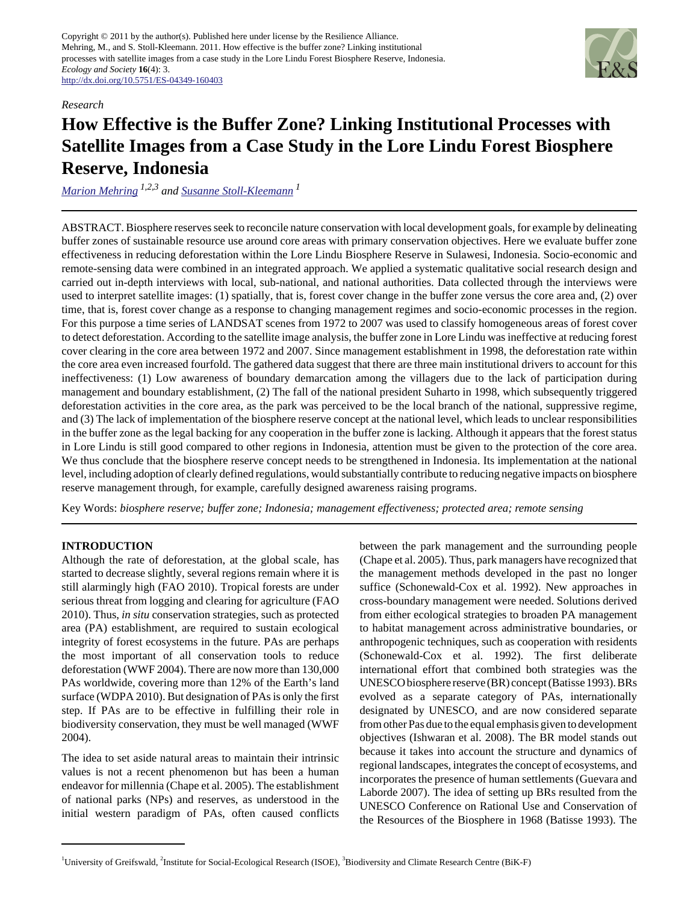

## *Research*

# **How Effective is the Buffer Zone? Linking Institutional Processes with Satellite Images from a Case Study in the Lore Lindu Forest Biosphere Reserve, Indonesia**

*[Marion Mehring](mailto:mehring@isoe.de) 1,2,3 and [Susanne Stoll-Kleemann](mailto:stollkle@uni-greifswald.de)<sup>1</sup>*

ABSTRACT. Biosphere reserves seek to reconcile nature conservation with local development goals, for example by delineating buffer zones of sustainable resource use around core areas with primary conservation objectives. Here we evaluate buffer zone effectiveness in reducing deforestation within the Lore Lindu Biosphere Reserve in Sulawesi, Indonesia. Socio-economic and remote-sensing data were combined in an integrated approach. We applied a systematic qualitative social research design and carried out in-depth interviews with local, sub-national, and national authorities. Data collected through the interviews were used to interpret satellite images: (1) spatially, that is, forest cover change in the buffer zone versus the core area and, (2) over time, that is, forest cover change as a response to changing management regimes and socio-economic processes in the region. For this purpose a time series of LANDSAT scenes from 1972 to 2007 was used to classify homogeneous areas of forest cover to detect deforestation. According to the satellite image analysis, the buffer zone in Lore Lindu was ineffective at reducing forest cover clearing in the core area between 1972 and 2007. Since management establishment in 1998, the deforestation rate within the core area even increased fourfold. The gathered data suggest that there are three main institutional drivers to account for this ineffectiveness: (1) Low awareness of boundary demarcation among the villagers due to the lack of participation during management and boundary establishment, (2) The fall of the national president Suharto in 1998, which subsequently triggered deforestation activities in the core area, as the park was perceived to be the local branch of the national, suppressive regime, and (3) The lack of implementation of the biosphere reserve concept at the national level, which leads to unclear responsibilities in the buffer zone as the legal backing for any cooperation in the buffer zone is lacking. Although it appears that the forest status in Lore Lindu is still good compared to other regions in Indonesia, attention must be given to the protection of the core area. We thus conclude that the biosphere reserve concept needs to be strengthened in Indonesia. Its implementation at the national level, including adoption of clearly defined regulations, would substantially contribute to reducing negative impacts on biosphere reserve management through, for example, carefully designed awareness raising programs.

Key Words: *biosphere reserve; buffer zone; Indonesia; management effectiveness; protected area; remote sensing*

## **INTRODUCTION**

Although the rate of deforestation, at the global scale, has started to decrease slightly, several regions remain where it is still alarmingly high (FAO 2010). Tropical forests are under serious threat from logging and clearing for agriculture (FAO 2010). Thus, *in situ* conservation strategies, such as protected area (PA) establishment, are required to sustain ecological integrity of forest ecosystems in the future. PAs are perhaps the most important of all conservation tools to reduce deforestation (WWF 2004). There are now more than 130,000 PAs worldwide, covering more than 12% of the Earth's land surface (WDPA 2010). But designation of PAs is only the first step. If PAs are to be effective in fulfilling their role in biodiversity conservation, they must be well managed (WWF 2004).

The idea to set aside natural areas to maintain their intrinsic values is not a recent phenomenon but has been a human endeavor for millennia (Chape et al. 2005). The establishment of national parks (NPs) and reserves, as understood in the initial western paradigm of PAs, often caused conflicts between the park management and the surrounding people (Chape et al. 2005). Thus, park managers have recognized that the management methods developed in the past no longer suffice (Schonewald-Cox et al. 1992). New approaches in cross-boundary management were needed. Solutions derived from either ecological strategies to broaden PA management to habitat management across administrative boundaries, or anthropogenic techniques, such as cooperation with residents (Schonewald-Cox et al. 1992). The first deliberate international effort that combined both strategies was the UNESCO biosphere reserve (BR) concept (Batisse 1993). BRs evolved as a separate category of PAs, internationally designated by UNESCO, and are now considered separate from other Pas due to the equal emphasis given to development objectives (Ishwaran et al. 2008). The BR model stands out because it takes into account the structure and dynamics of regional landscapes, integrates the concept of ecosystems, and incorporates the presence of human settlements (Guevara and Laborde 2007). The idea of setting up BRs resulted from the UNESCO Conference on Rational Use and Conservation of the Resources of the Biosphere in 1968 (Batisse 1993). The

<sup>&</sup>lt;sup>1</sup>University of Greifswald, <sup>2</sup>Institute for Social-Ecological Research (ISOE), <sup>3</sup>Biodiversity and Climate Research Centre (BiK-F)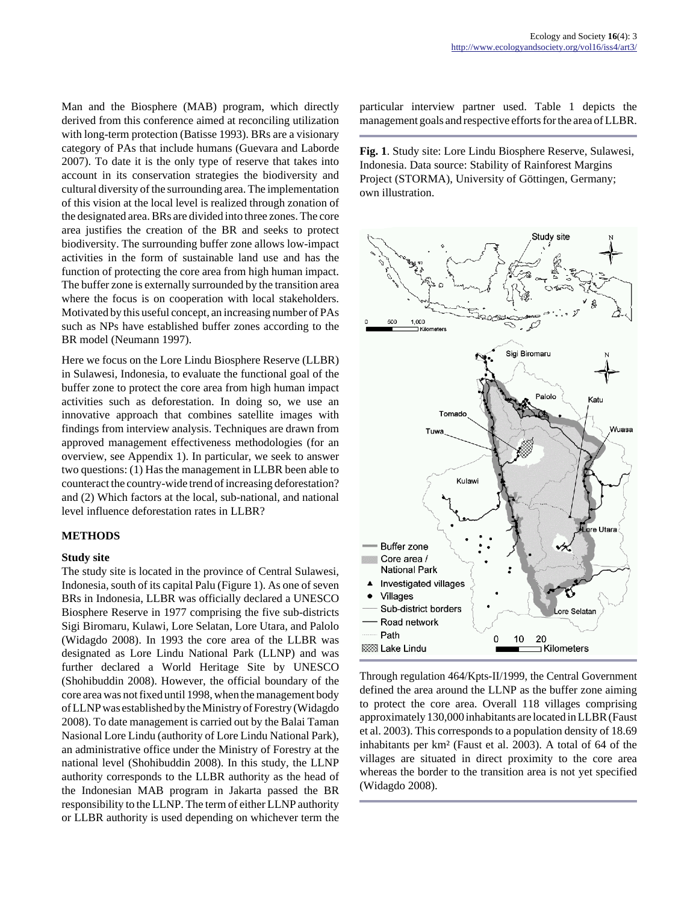Man and the Biosphere (MAB) program, which directly derived from this conference aimed at reconciling utilization with long-term protection (Batisse 1993). BRs are a visionary category of PAs that include humans (Guevara and Laborde 2007). To date it is the only type of reserve that takes into account in its conservation strategies the biodiversity and cultural diversity of the surrounding area. The implementation of this vision at the local level is realized through zonation of the designated area. BRs are divided into three zones. The core area justifies the creation of the BR and seeks to protect biodiversity. The surrounding buffer zone allows low-impact activities in the form of sustainable land use and has the function of protecting the core area from high human impact. The buffer zone is externally surrounded by the transition area where the focus is on cooperation with local stakeholders. Motivated by this useful concept, an increasing number of PAs such as NPs have established buffer zones according to the BR model (Neumann 1997).

Here we focus on the Lore Lindu Biosphere Reserve (LLBR) in Sulawesi, Indonesia, to evaluate the functional goal of the buffer zone to protect the core area from high human impact activities such as deforestation. In doing so, we use an innovative approach that combines satellite images with findings from interview analysis. Techniques are drawn from approved management effectiveness methodologies (for an overview, see Appendix 1). In particular, we seek to answer two questions: (1) Has the management in LLBR been able to counteract the country-wide trend of increasing deforestation? and (2) Which factors at the local, sub-national, and national level influence deforestation rates in LLBR?

## **METHODS**

### **Study site**

The study site is located in the province of Central Sulawesi, Indonesia, south of its capital Palu (Figure 1). As one of seven BRs in Indonesia, LLBR was officially declared a UNESCO Biosphere Reserve in 1977 comprising the five sub-districts Sigi Biromaru, Kulawi, Lore Selatan, Lore Utara, and Palolo (Widagdo 2008). In 1993 the core area of the LLBR was designated as Lore Lindu National Park (LLNP) and was further declared a World Heritage Site by UNESCO (Shohibuddin 2008). However, the official boundary of the core area was not fixed until 1998, when the management body of LLNP was established by the Ministry of Forestry (Widagdo 2008). To date management is carried out by the Balai Taman Nasional Lore Lindu (authority of Lore Lindu National Park), an administrative office under the Ministry of Forestry at the national level (Shohibuddin 2008). In this study, the LLNP authority corresponds to the LLBR authority as the head of the Indonesian MAB program in Jakarta passed the BR responsibility to the LLNP. The term of either LLNP authority or LLBR authority is used depending on whichever term the particular interview partner used. Table 1 depicts the management goals and respective efforts for the area of LLBR.

**Fig. 1**. Study site: Lore Lindu Biosphere Reserve, Sulawesi, Indonesia. Data source: Stability of Rainforest Margins Project (STORMA), University of Göttingen, Germany; own illustration.



Through regulation 464/Kpts-II/1999, the Central Government defined the area around the LLNP as the buffer zone aiming to protect the core area. Overall 118 villages comprising approximately 130,000 inhabitants are located in LLBR (Faust et al. 2003). This corresponds to a population density of 18.69 inhabitants per km² (Faust et al. 2003). A total of 64 of the villages are situated in direct proximity to the core area whereas the border to the transition area is not yet specified (Widagdo 2008).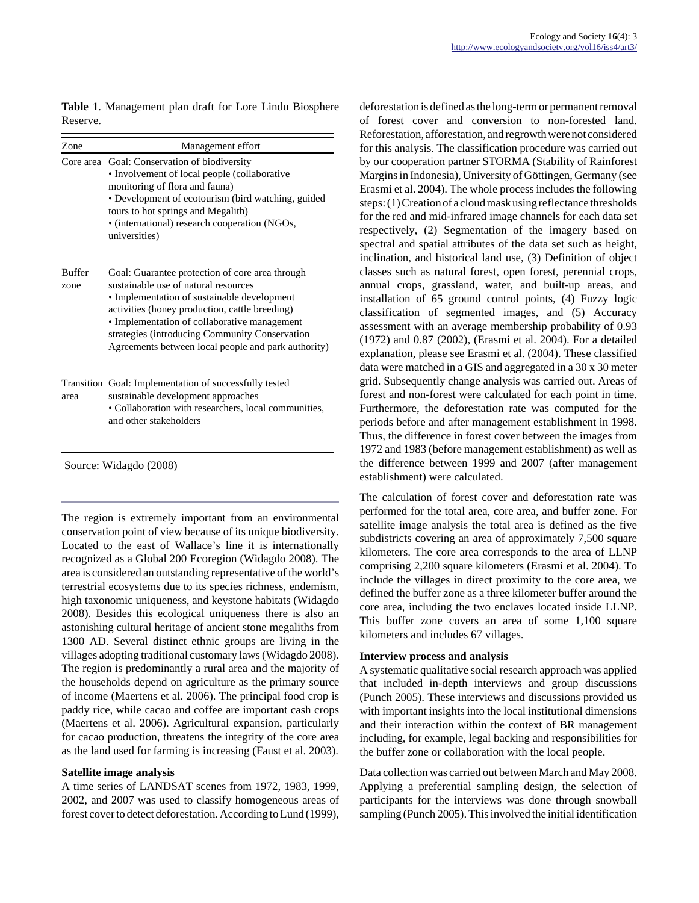**Table 1**. Management plan draft for Lore Lindu Biosphere Reserve.

| Zone                  | Management effort                                                                                                                                                                                                                                                                                                                                 |  |
|-----------------------|---------------------------------------------------------------------------------------------------------------------------------------------------------------------------------------------------------------------------------------------------------------------------------------------------------------------------------------------------|--|
|                       | Core area Goal: Conservation of biodiversity<br>• Involvement of local people (collaborative<br>monitoring of flora and fauna)<br>• Development of ecotourism (bird watching, guided<br>tours to hot springs and Megalith)<br>• (international) research cooperation (NGOs,<br>universities)                                                      |  |
| <b>Buffer</b><br>zone | Goal: Guarantee protection of core area through<br>sustainable use of natural resources<br>• Implementation of sustainable development<br>activities (honey production, cattle breeding)<br>• Implementation of collaborative management<br>strategies (introducing Community Conservation<br>Agreements between local people and park authority) |  |
|                       | Transition Goal: Implementation of successfully tested                                                                                                                                                                                                                                                                                            |  |

area sustainable development approaches • Collaboration with researchers, local communities, and other stakeholders

Source: Widagdo (2008)

The region is extremely important from an environmental conservation point of view because of its unique biodiversity. Located to the east of Wallace's line it is internationally recognized as a Global 200 Ecoregion (Widagdo 2008). The area is considered an outstanding representative of the world's terrestrial ecosystems due to its species richness, endemism, high taxonomic uniqueness, and keystone habitats (Widagdo 2008). Besides this ecological uniqueness there is also an astonishing cultural heritage of ancient stone megaliths from 1300 AD. Several distinct ethnic groups are living in the villages adopting traditional customary laws (Widagdo 2008). The region is predominantly a rural area and the majority of the households depend on agriculture as the primary source of income (Maertens et al. 2006). The principal food crop is paddy rice, while cacao and coffee are important cash crops (Maertens et al. 2006). Agricultural expansion, particularly for cacao production, threatens the integrity of the core area as the land used for farming is increasing (Faust et al. 2003).

### **Satellite image analysis**

A time series of LANDSAT scenes from 1972, 1983, 1999, 2002, and 2007 was used to classify homogeneous areas of forest cover to detect deforestation. According to Lund (1999), deforestation is defined as the long-term or permanent removal of forest cover and conversion to non-forested land. Reforestation, afforestation, and regrowth were not considered for this analysis. The classification procedure was carried out by our cooperation partner STORMA (Stability of Rainforest Margins in Indonesia), University of Göttingen, Germany (see Erasmi et al. 2004). The whole process includes the following steps: (1) Creation of a cloud mask using reflectance thresholds for the red and mid-infrared image channels for each data set respectively, (2) Segmentation of the imagery based on spectral and spatial attributes of the data set such as height, inclination, and historical land use, (3) Definition of object classes such as natural forest, open forest, perennial crops, annual crops, grassland, water, and built-up areas, and installation of 65 ground control points, (4) Fuzzy logic classification of segmented images, and (5) Accuracy assessment with an average membership probability of 0.93 (1972) and 0.87 (2002), (Erasmi et al. 2004). For a detailed explanation, please see Erasmi et al. (2004). These classified data were matched in a GIS and aggregated in a 30 x 30 meter grid. Subsequently change analysis was carried out. Areas of forest and non-forest were calculated for each point in time. Furthermore, the deforestation rate was computed for the periods before and after management establishment in 1998. Thus, the difference in forest cover between the images from 1972 and 1983 (before management establishment) as well as the difference between 1999 and 2007 (after management establishment) were calculated.

The calculation of forest cover and deforestation rate was performed for the total area, core area, and buffer zone. For satellite image analysis the total area is defined as the five subdistricts covering an area of approximately 7,500 square kilometers. The core area corresponds to the area of LLNP comprising 2,200 square kilometers (Erasmi et al. 2004). To include the villages in direct proximity to the core area, we defined the buffer zone as a three kilometer buffer around the core area, including the two enclaves located inside LLNP. This buffer zone covers an area of some 1,100 square kilometers and includes 67 villages.

### **Interview process and analysis**

A systematic qualitative social research approach was applied that included in-depth interviews and group discussions (Punch 2005). These interviews and discussions provided us with important insights into the local institutional dimensions and their interaction within the context of BR management including, for example, legal backing and responsibilities for the buffer zone or collaboration with the local people.

Data collection was carried out between March and May 2008. Applying a preferential sampling design, the selection of participants for the interviews was done through snowball sampling (Punch 2005). This involved the initial identification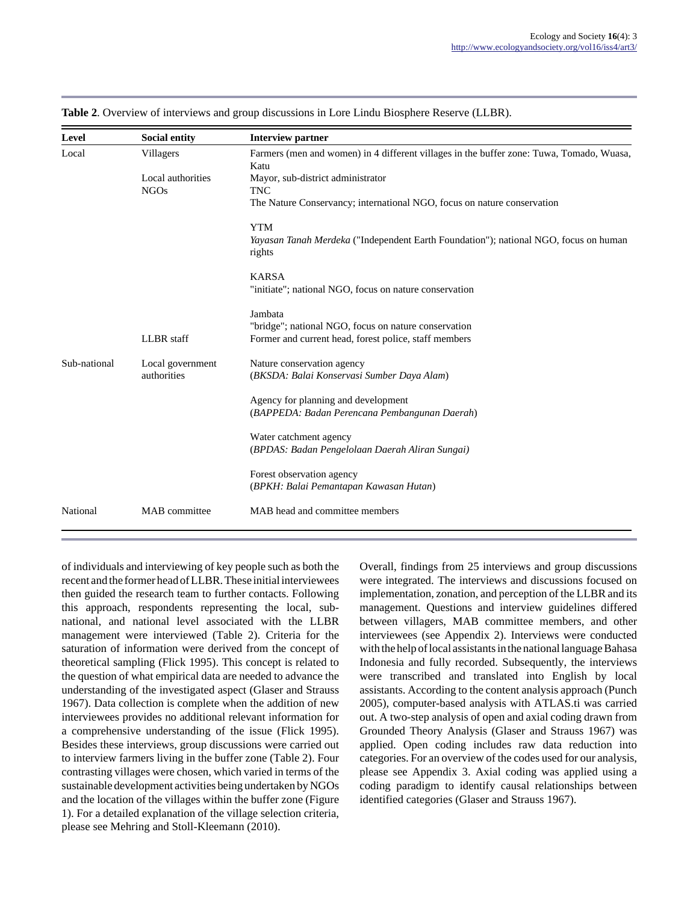| Level        | <b>Social entity</b> | <b>Interview partner</b>                                                                              |
|--------------|----------------------|-------------------------------------------------------------------------------------------------------|
| Local        | Villagers            | Farmers (men and women) in 4 different villages in the buffer zone: Tuwa, Tomado, Wuasa,<br>Katu      |
|              | Local authorities    | Mayor, sub-district administrator                                                                     |
|              | <b>NGOs</b>          | <b>TNC</b>                                                                                            |
|              |                      | The Nature Conservancy; international NGO, focus on nature conservation                               |
|              |                      | <b>YTM</b>                                                                                            |
|              |                      | <i>Yayasan Tanah Merdeka</i> ("Independent Earth Foundation"); national NGO, focus on human<br>rights |
|              |                      |                                                                                                       |
|              |                      | <b>KARSA</b>                                                                                          |
|              |                      | "initiate"; national NGO, focus on nature conservation                                                |
|              |                      | Jambata                                                                                               |
|              |                      | "bridge"; national NGO, focus on nature conservation                                                  |
|              | LLBR staff           | Former and current head, forest police, staff members                                                 |
| Sub-national | Local government     | Nature conservation agency                                                                            |
|              | authorities          | (BKSDA: Balai Konservasi Sumber Daya Alam)                                                            |
|              |                      | Agency for planning and development                                                                   |
|              |                      | (BAPPEDA: Badan Perencana Pembangunan Daerah)                                                         |
|              |                      | Water catchment agency                                                                                |
|              |                      | (BPDAS: Badan Pengelolaan Daerah Aliran Sungai)                                                       |
|              |                      | Forest observation agency                                                                             |
|              |                      | (BPKH: Balai Pemantapan Kawasan Hutan)                                                                |
| National     | MAB committee        | MAB head and committee members                                                                        |

**Table 2**. Overview of interviews and group discussions in Lore Lindu Biosphere Reserve (LLBR).

of individuals and interviewing of key people such as both the recent and the former head of LLBR. These initial interviewees then guided the research team to further contacts. Following this approach, respondents representing the local, subnational, and national level associated with the LLBR management were interviewed (Table 2). Criteria for the saturation of information were derived from the concept of theoretical sampling (Flick 1995). This concept is related to the question of what empirical data are needed to advance the understanding of the investigated aspect (Glaser and Strauss 1967). Data collection is complete when the addition of new interviewees provides no additional relevant information for a comprehensive understanding of the issue (Flick 1995). Besides these interviews, group discussions were carried out to interview farmers living in the buffer zone (Table 2). Four contrasting villages were chosen, which varied in terms of the sustainable development activities being undertaken by NGOs and the location of the villages within the buffer zone (Figure 1). For a detailed explanation of the village selection criteria, please see Mehring and Stoll-Kleemann (2010).

Overall, findings from 25 interviews and group discussions were integrated. The interviews and discussions focused on implementation, zonation, and perception of the LLBR and its management. Questions and interview guidelines differed between villagers, MAB committee members, and other interviewees (see Appendix 2). Interviews were conducted with the help of local assistants in the national language Bahasa Indonesia and fully recorded. Subsequently, the interviews were transcribed and translated into English by local assistants. According to the content analysis approach (Punch 2005), computer-based analysis with ATLAS.ti was carried out. A two-step analysis of open and axial coding drawn from Grounded Theory Analysis (Glaser and Strauss 1967) was applied. Open coding includes raw data reduction into categories. For an overview of the codes used for our analysis, please see Appendix 3. Axial coding was applied using a coding paradigm to identify causal relationships between identified categories (Glaser and Strauss 1967).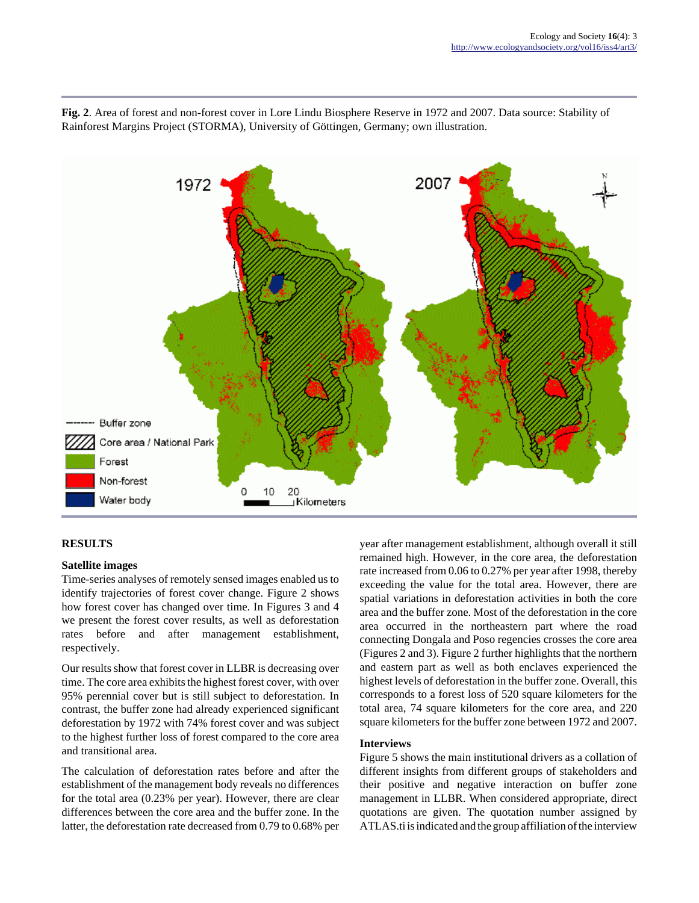

**Fig. 2**. Area of forest and non-forest cover in Lore Lindu Biosphere Reserve in 1972 and 2007. Data source: Stability of Rainforest Margins Project (STORMA), University of Göttingen, Germany; own illustration.

## **RESULTS**

#### **Satellite images**

Time-series analyses of remotely sensed images enabled us to identify trajectories of forest cover change. Figure 2 shows how forest cover has changed over time. In Figures 3 and 4 we present the forest cover results, as well as deforestation rates before and after management establishment, respectively.

Our results show that forest cover in LLBR is decreasing over time. The core area exhibits the highest forest cover, with over 95% perennial cover but is still subject to deforestation. In contrast, the buffer zone had already experienced significant deforestation by 1972 with 74% forest cover and was subject to the highest further loss of forest compared to the core area and transitional area.

The calculation of deforestation rates before and after the establishment of the management body reveals no differences for the total area (0.23% per year). However, there are clear differences between the core area and the buffer zone. In the latter, the deforestation rate decreased from 0.79 to 0.68% per year after management establishment, although overall it still remained high. However, in the core area, the deforestation rate increased from 0.06 to 0.27% per year after 1998, thereby exceeding the value for the total area. However, there are spatial variations in deforestation activities in both the core area and the buffer zone. Most of the deforestation in the core area occurred in the northeastern part where the road connecting Dongala and Poso regencies crosses the core area (Figures 2 and 3). Figure 2 further highlights that the northern and eastern part as well as both enclaves experienced the highest levels of deforestation in the buffer zone. Overall, this corresponds to a forest loss of 520 square kilometers for the total area, 74 square kilometers for the core area, and 220 square kilometers for the buffer zone between 1972 and 2007.

#### **Interviews**

Figure 5 shows the main institutional drivers as a collation of different insights from different groups of stakeholders and their positive and negative interaction on buffer zone management in LLBR. When considered appropriate, direct quotations are given. The quotation number assigned by ATLAS.ti is indicated and the group affiliation of the interview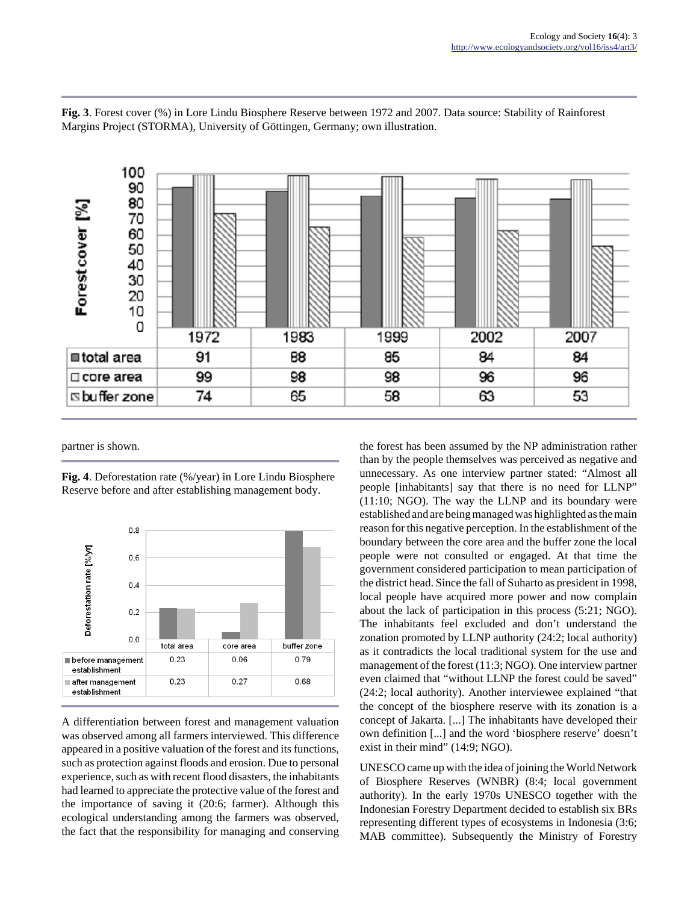**Fig. 3**. Forest cover (%) in Lore Lindu Biosphere Reserve between 1972 and 2007. Data source: Stability of Rainforest Margins Project (STORMA), University of Göttingen, Germany; own illustration.



partner is shown.

**Fig. 4**. Deforestation rate (%/year) in Lore Lindu Biosphere Reserve before and after establishing management body.



A differentiation between forest and management valuation was observed among all farmers interviewed. This difference appeared in a positive valuation of the forest and its functions, such as protection against floods and erosion. Due to personal experience, such as with recent flood disasters, the inhabitants had learned to appreciate the protective value of the forest and the importance of saving it (20:6; farmer). Although this ecological understanding among the farmers was observed, the fact that the responsibility for managing and conserving the forest has been assumed by the NP administration rather than by the people themselves was perceived as negative and unnecessary. As one interview partner stated: "Almost all people [inhabitants] say that there is no need for LLNP" (11:10; NGO). The way the LLNP and its boundary were established and are being managed was highlighted as the main reason for this negative perception. In the establishment of the boundary between the core area and the buffer zone the local people were not consulted or engaged. At that time the government considered participation to mean participation of the district head. Since the fall of Suharto as president in 1998, local people have acquired more power and now complain about the lack of participation in this process (5:21; NGO). The inhabitants feel excluded and don't understand the zonation promoted by LLNP authority (24:2; local authority) as it contradicts the local traditional system for the use and management of the forest (11:3; NGO). One interview partner even claimed that "without LLNP the forest could be saved" (24:2; local authority). Another interviewee explained "that the concept of the biosphere reserve with its zonation is a concept of Jakarta. [...] The inhabitants have developed their own definition [...] and the word 'biosphere reserve' doesn't exist in their mind" (14:9; NGO).

UNESCO came up with the idea of joining the World Network of Biosphere Reserves (WNBR) (8:4; local government authority). In the early 1970s UNESCO together with the Indonesian Forestry Department decided to establish six BRs representing different types of ecosystems in Indonesia (3:6; MAB committee). Subsequently the Ministry of Forestry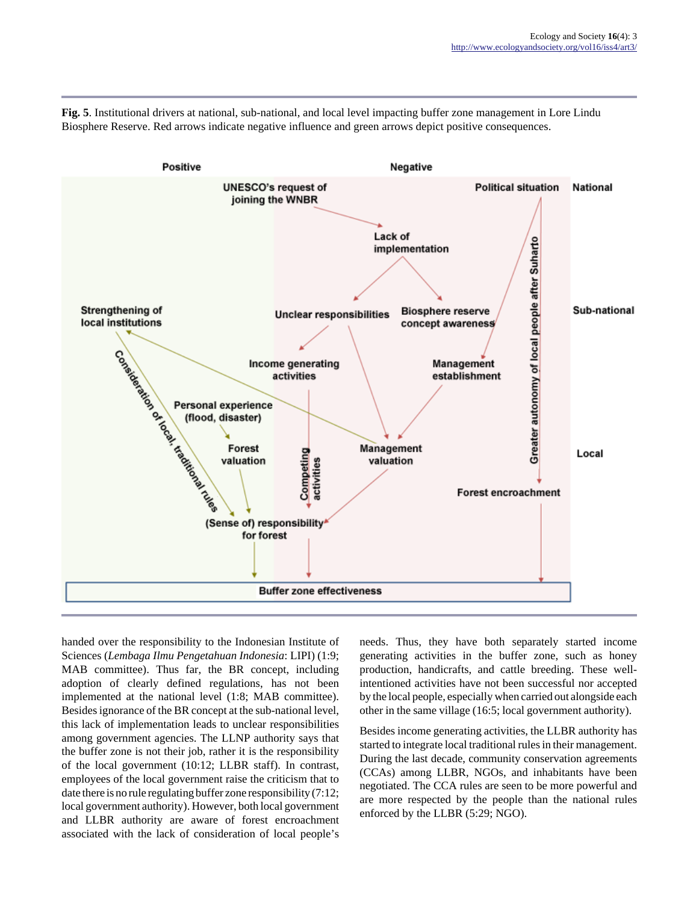

**Fig. 5**. Institutional drivers at national, sub-national, and local level impacting buffer zone management in Lore Lindu Biosphere Reserve. Red arrows indicate negative influence and green arrows depict positive consequences.

handed over the responsibility to the Indonesian Institute of Sciences (*Lembaga Ilmu Pengetahuan Indonesia*: LIPI) (1:9; MAB committee). Thus far, the BR concept, including adoption of clearly defined regulations, has not been implemented at the national level (1:8; MAB committee). Besides ignorance of the BR concept at the sub-national level, this lack of implementation leads to unclear responsibilities among government agencies. The LLNP authority says that the buffer zone is not their job, rather it is the responsibility of the local government (10:12; LLBR staff). In contrast, employees of the local government raise the criticism that to date there is no rule regulating buffer zone responsibility (7:12; local government authority). However, both local government and LLBR authority are aware of forest encroachment associated with the lack of consideration of local people's

needs. Thus, they have both separately started income generating activities in the buffer zone, such as honey production, handicrafts, and cattle breeding. These wellintentioned activities have not been successful nor accepted by the local people, especially when carried out alongside each other in the same village (16:5; local government authority).

Besides income generating activities, the LLBR authority has started to integrate local traditional rules in their management. During the last decade, community conservation agreements (CCAs) among LLBR, NGOs, and inhabitants have been negotiated. The CCA rules are seen to be more powerful and are more respected by the people than the national rules enforced by the LLBR (5:29; NGO).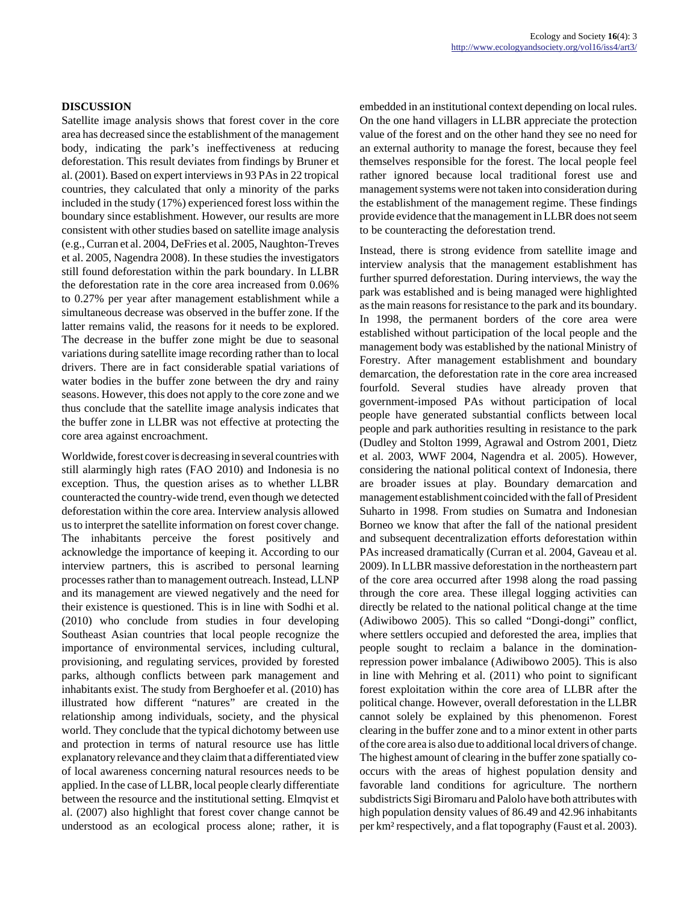## **DISCUSSION**

Satellite image analysis shows that forest cover in the core area has decreased since the establishment of the management body, indicating the park's ineffectiveness at reducing deforestation. This result deviates from findings by Bruner et al. (2001). Based on expert interviews in 93 PAs in 22 tropical countries, they calculated that only a minority of the parks included in the study (17%) experienced forest loss within the boundary since establishment. However, our results are more consistent with other studies based on satellite image analysis (e.g., Curran et al. 2004, DeFries et al. 2005, Naughton-Treves et al. 2005, Nagendra 2008). In these studies the investigators still found deforestation within the park boundary. In LLBR the deforestation rate in the core area increased from 0.06% to 0.27% per year after management establishment while a simultaneous decrease was observed in the buffer zone. If the latter remains valid, the reasons for it needs to be explored. The decrease in the buffer zone might be due to seasonal variations during satellite image recording rather than to local drivers. There are in fact considerable spatial variations of water bodies in the buffer zone between the dry and rainy seasons. However, this does not apply to the core zone and we thus conclude that the satellite image analysis indicates that the buffer zone in LLBR was not effective at protecting the core area against encroachment.

Worldwide, forest cover is decreasing in several countries with still alarmingly high rates (FAO 2010) and Indonesia is no exception. Thus, the question arises as to whether LLBR counteracted the country-wide trend, even though we detected deforestation within the core area. Interview analysis allowed us to interpret the satellite information on forest cover change. The inhabitants perceive the forest positively and acknowledge the importance of keeping it. According to our interview partners, this is ascribed to personal learning processes rather than to management outreach. Instead, LLNP and its management are viewed negatively and the need for their existence is questioned. This is in line with Sodhi et al. (2010) who conclude from studies in four developing Southeast Asian countries that local people recognize the importance of environmental services, including cultural, provisioning, and regulating services, provided by forested parks, although conflicts between park management and inhabitants exist. The study from Berghoefer et al. (2010) has illustrated how different "natures" are created in the relationship among individuals, society, and the physical world. They conclude that the typical dichotomy between use and protection in terms of natural resource use has little explanatory relevance and they claim that a differentiated view of local awareness concerning natural resources needs to be applied. In the case of LLBR, local people clearly differentiate between the resource and the institutional setting. Elmqvist et al. (2007) also highlight that forest cover change cannot be understood as an ecological process alone; rather, it is embedded in an institutional context depending on local rules. On the one hand villagers in LLBR appreciate the protection value of the forest and on the other hand they see no need for an external authority to manage the forest, because they feel themselves responsible for the forest. The local people feel rather ignored because local traditional forest use and management systems were not taken into consideration during the establishment of the management regime. These findings provide evidence that the management in LLBR does not seem to be counteracting the deforestation trend.

Instead, there is strong evidence from satellite image and interview analysis that the management establishment has further spurred deforestation. During interviews, the way the park was established and is being managed were highlighted as the main reasons for resistance to the park and its boundary. In 1998, the permanent borders of the core area were established without participation of the local people and the management body was established by the national Ministry of Forestry. After management establishment and boundary demarcation, the deforestation rate in the core area increased fourfold. Several studies have already proven that government-imposed PAs without participation of local people have generated substantial conflicts between local people and park authorities resulting in resistance to the park (Dudley and Stolton 1999, Agrawal and Ostrom 2001, Dietz et al. 2003, WWF 2004, Nagendra et al. 2005). However, considering the national political context of Indonesia, there are broader issues at play. Boundary demarcation and management establishment coincided with the fall of President Suharto in 1998. From studies on Sumatra and Indonesian Borneo we know that after the fall of the national president and subsequent decentralization efforts deforestation within PAs increased dramatically (Curran et al. 2004, Gaveau et al. 2009). In LLBR massive deforestation in the northeastern part of the core area occurred after 1998 along the road passing through the core area. These illegal logging activities can directly be related to the national political change at the time (Adiwibowo 2005). This so called "Dongi-dongi" conflict, where settlers occupied and deforested the area, implies that people sought to reclaim a balance in the dominationrepression power imbalance (Adiwibowo 2005). This is also in line with Mehring et al. (2011) who point to significant forest exploitation within the core area of LLBR after the political change. However, overall deforestation in the LLBR cannot solely be explained by this phenomenon. Forest clearing in the buffer zone and to a minor extent in other parts of the core area is also due to additional local drivers of change. The highest amount of clearing in the buffer zone spatially cooccurs with the areas of highest population density and favorable land conditions for agriculture. The northern subdistricts Sigi Biromaru and Palolo have both attributes with high population density values of 86.49 and 42.96 inhabitants per km² respectively, and a flat topography (Faust et al. 2003).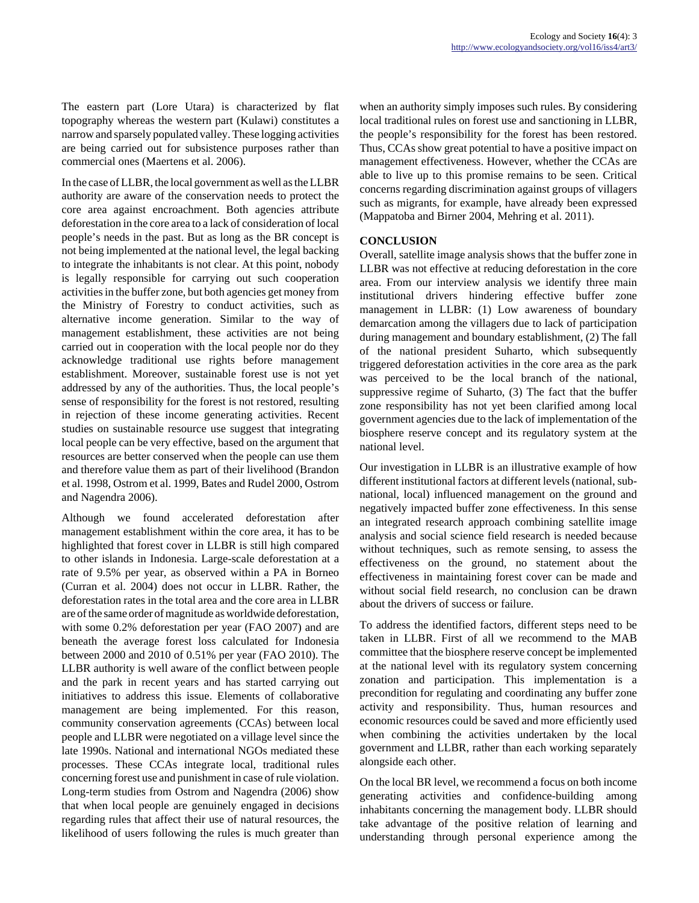The eastern part (Lore Utara) is characterized by flat topography whereas the western part (Kulawi) constitutes a narrow and sparsely populated valley. These logging activities are being carried out for subsistence purposes rather than commercial ones (Maertens et al. 2006).

In the case of LLBR, the local government as well as the LLBR authority are aware of the conservation needs to protect the core area against encroachment. Both agencies attribute deforestation in the core area to a lack of consideration of local people's needs in the past. But as long as the BR concept is not being implemented at the national level, the legal backing to integrate the inhabitants is not clear. At this point, nobody is legally responsible for carrying out such cooperation activities in the buffer zone, but both agencies get money from the Ministry of Forestry to conduct activities, such as alternative income generation. Similar to the way of management establishment, these activities are not being carried out in cooperation with the local people nor do they acknowledge traditional use rights before management establishment. Moreover, sustainable forest use is not yet addressed by any of the authorities. Thus, the local people's sense of responsibility for the forest is not restored, resulting in rejection of these income generating activities. Recent studies on sustainable resource use suggest that integrating local people can be very effective, based on the argument that resources are better conserved when the people can use them and therefore value them as part of their livelihood (Brandon et al. 1998, Ostrom et al. 1999, Bates and Rudel 2000, Ostrom and Nagendra 2006).

Although we found accelerated deforestation after management establishment within the core area, it has to be highlighted that forest cover in LLBR is still high compared to other islands in Indonesia. Large-scale deforestation at a rate of 9.5% per year, as observed within a PA in Borneo (Curran et al. 2004) does not occur in LLBR. Rather, the deforestation rates in the total area and the core area in LLBR are of the same order of magnitude as worldwide deforestation, with some 0.2% deforestation per year (FAO 2007) and are beneath the average forest loss calculated for Indonesia between 2000 and 2010 of 0.51% per year (FAO 2010). The LLBR authority is well aware of the conflict between people and the park in recent years and has started carrying out initiatives to address this issue. Elements of collaborative management are being implemented. For this reason, community conservation agreements (CCAs) between local people and LLBR were negotiated on a village level since the late 1990s. National and international NGOs mediated these processes. These CCAs integrate local, traditional rules concerning forest use and punishment in case of rule violation. Long-term studies from Ostrom and Nagendra (2006) show that when local people are genuinely engaged in decisions regarding rules that affect their use of natural resources, the likelihood of users following the rules is much greater than when an authority simply imposes such rules. By considering local traditional rules on forest use and sanctioning in LLBR, the people's responsibility for the forest has been restored. Thus, CCAs show great potential to have a positive impact on management effectiveness. However, whether the CCAs are able to live up to this promise remains to be seen. Critical concerns regarding discrimination against groups of villagers such as migrants, for example, have already been expressed (Mappatoba and Birner 2004, Mehring et al. 2011).

## **CONCLUSION**

Overall, satellite image analysis shows that the buffer zone in LLBR was not effective at reducing deforestation in the core area. From our interview analysis we identify three main institutional drivers hindering effective buffer zone management in LLBR: (1) Low awareness of boundary demarcation among the villagers due to lack of participation during management and boundary establishment, (2) The fall of the national president Suharto, which subsequently triggered deforestation activities in the core area as the park was perceived to be the local branch of the national, suppressive regime of Suharto, (3) The fact that the buffer zone responsibility has not yet been clarified among local government agencies due to the lack of implementation of the biosphere reserve concept and its regulatory system at the national level.

Our investigation in LLBR is an illustrative example of how different institutional factors at different levels (national, subnational, local) influenced management on the ground and negatively impacted buffer zone effectiveness. In this sense an integrated research approach combining satellite image analysis and social science field research is needed because without techniques, such as remote sensing, to assess the effectiveness on the ground, no statement about the effectiveness in maintaining forest cover can be made and without social field research, no conclusion can be drawn about the drivers of success or failure.

To address the identified factors, different steps need to be taken in LLBR. First of all we recommend to the MAB committee that the biosphere reserve concept be implemented at the national level with its regulatory system concerning zonation and participation. This implementation is a precondition for regulating and coordinating any buffer zone activity and responsibility. Thus, human resources and economic resources could be saved and more efficiently used when combining the activities undertaken by the local government and LLBR, rather than each working separately alongside each other.

On the local BR level, we recommend a focus on both income generating activities and confidence-building among inhabitants concerning the management body. LLBR should take advantage of the positive relation of learning and understanding through personal experience among the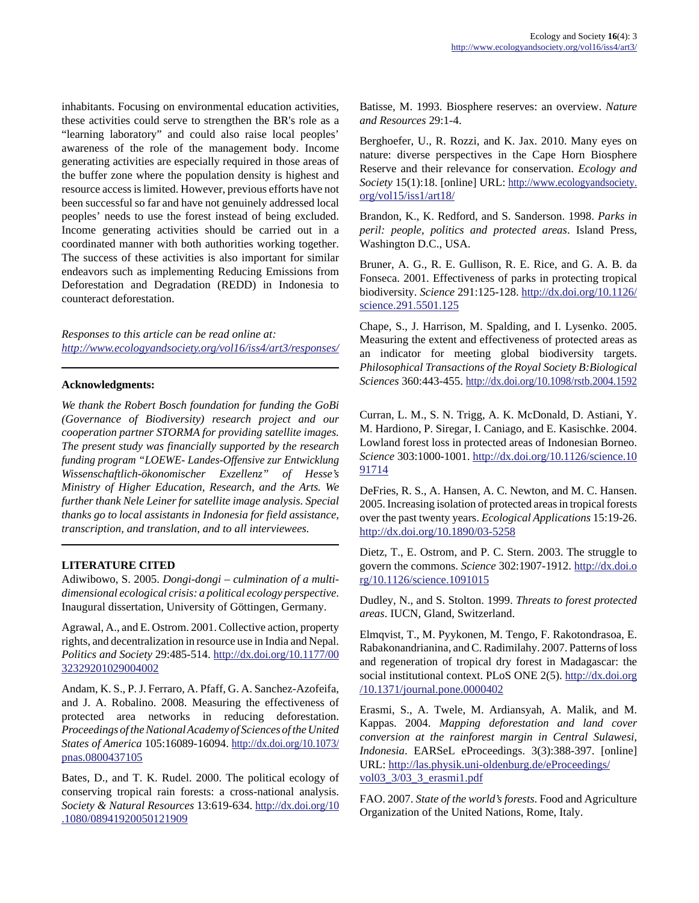inhabitants. Focusing on environmental education activities, these activities could serve to strengthen the BR's role as a "learning laboratory" and could also raise local peoples' awareness of the role of the management body. Income generating activities are especially required in those areas of the buffer zone where the population density is highest and resource access is limited. However, previous efforts have not been successful so far and have not genuinely addressed local peoples' needs to use the forest instead of being excluded. Income generating activities should be carried out in a coordinated manner with both authorities working together. The success of these activities is also important for similar endeavors such as implementing Reducing Emissions from Deforestation and Degradation (REDD) in Indonesia to counteract deforestation.

*Responses to this article can be read online at: <http://www.ecologyandsociety.org/vol16/iss4/art3/responses/>*

### **Acknowledgments:**

*We thank the Robert Bosch foundation for funding the GoBi (Governance of Biodiversity) research project and our cooperation partner STORMA for providing satellite images. The present study was financially supported by the research funding program "LOEWE- Landes-Offensive zur Entwicklung Wissenschaftlich-ökonomischer Exzellenz" of Hesse's Ministry of Higher Education, Research, and the Arts. We further thank Nele Leiner for satellite image analysis. Special thanks go to local assistants in Indonesia for field assistance, transcription, and translation, and to all interviewees.* 

## **LITERATURE CITED**

Adiwibowo, S. 2005. *Dongi-dongi – culmination of a multidimensional ecological crisis: a political ecology perspective*. Inaugural dissertation, University of Göttingen, Germany.

Agrawal, A., and E. Ostrom. 2001. Collective action, property rights, and decentralization in resource use in India and Nepal. *Politics and Society* 29:485-514. [http://dx.doi.org/10.1177/00](http://dx.doi.org/10.1177/0032329201029004002) [32329201029004002](http://dx.doi.org/10.1177/0032329201029004002)

Andam, K. S., P. J. Ferraro, A. Pfaff, G. A. Sanchez-Azofeifa, and J. A. Robalino. 2008. Measuring the effectiveness of protected area networks in reducing deforestation. *Proceedings of the National Academy of Sciences of the United States of America* 105:16089-16094. [http://dx.doi.org/10.1073/](http://dx.doi.org/10.1073/pnas.0800437105) [pnas.0800437105](http://dx.doi.org/10.1073/pnas.0800437105)

Bates, D., and T. K. Rudel. 2000. The political ecology of conserving tropical rain forests: a cross-national analysis. *Society & Natural Resources* 13:619-634. [http://dx.doi.org/10](http://dx.doi.org/10.1080/08941920050121909) [.1080/08941920050121909](http://dx.doi.org/10.1080/08941920050121909)

Batisse, M. 1993. Biosphere reserves: an overview. *Nature and Resources* 29:1-4.

Berghoefer, U., R. Rozzi, and K. Jax. 2010. Many eyes on nature: diverse perspectives in the Cape Horn Biosphere Reserve and their relevance for conservation. *Ecology and Society* 15(1):18. [online] URL: [http://www.ecologyandsociety.](http://www.ecologyandsociety.org/vol15/iss1/art18/) [org/vol15/iss1/art18/](http://www.ecologyandsociety.org/vol15/iss1/art18/)

Brandon, K., K. Redford, and S. Sanderson. 1998. *Parks in peril: people, politics and protected areas*. Island Press, Washington D.C., USA.

Bruner, A. G., R. E. Gullison, R. E. Rice, and G. A. B. da Fonseca. 2001. Effectiveness of parks in protecting tropical biodiversity. *Science* 291:125-128. [http://dx.doi.org/10.1126/](http://dx.doi.org/10.1126/science.291.5501.125) [science.291.5501.125](http://dx.doi.org/10.1126/science.291.5501.125)

Chape, S., J. Harrison, M. Spalding, and I. Lysenko. 2005. Measuring the extent and effectiveness of protected areas as an indicator for meeting global biodiversity targets. *Philosophical Transactions of the Royal Society B:Biological Sciences* 360:443-455.<http://dx.doi.org/10.1098/rstb.2004.1592>

Curran, L. M., S. N. Trigg, A. K. McDonald, D. Astiani, Y. M. Hardiono, P. Siregar, I. Caniago, and E. Kasischke. 2004. Lowland forest loss in protected areas of Indonesian Borneo. *Science* 303:1000-1001. [http://dx.doi.org/10.1126/science.10](http://dx.doi.org/10.1126/science.1091714) [91714](http://dx.doi.org/10.1126/science.1091714)

DeFries, R. S., A. Hansen, A. C. Newton, and M. C. Hansen. 2005. Increasing isolation of protected areas in tropical forests over the past twenty years. *Ecological Applications* 15:19-26. <http://dx.doi.org/10.1890/03-5258>

Dietz, T., E. Ostrom, and P. C. Stern. 2003. The struggle to govern the commons. *Science* 302:1907-1912. [http://dx.doi.o](http://dx.doi.org/10.1126/science.1091015) [rg/10.1126/science.1091015](http://dx.doi.org/10.1126/science.1091015)

Dudley, N., and S. Stolton. 1999. *Threats to forest protected areas*. IUCN, Gland, Switzerland.

Elmqvist, T., M. Pyykonen, M. Tengo, F. Rakotondrasoa, E. Rabakonandrianina, and C. Radimilahy. 2007. Patterns of loss and regeneration of tropical dry forest in Madagascar: the social institutional context. PLoS ONE 2(5). [http://dx.doi.org](http://dx.doi.org/10.1371/journal.pone.0000402) [/10.1371/journal.pone.0000402](http://dx.doi.org/10.1371/journal.pone.0000402)

Erasmi, S., A. Twele, M. Ardiansyah, A. Malik, and M. Kappas. 2004. *Mapping deforestation and land cover conversion at the rainforest margin in Central Sulawesi, Indonesia*. EARSeL eProceedings. 3(3):388-397. [online] URL: [http://las.physik.uni-oldenburg.de/eProceedings/](http://las.physik.uni-oldenburg.de/eProceedings/vol03_3/03_3_erasmi1.pdf) [vol03\\_3/03\\_3\\_erasmi1.pdf](http://las.physik.uni-oldenburg.de/eProceedings/vol03_3/03_3_erasmi1.pdf)

FAO. 2007. *State of the world's forests*. Food and Agriculture Organization of the United Nations, Rome, Italy.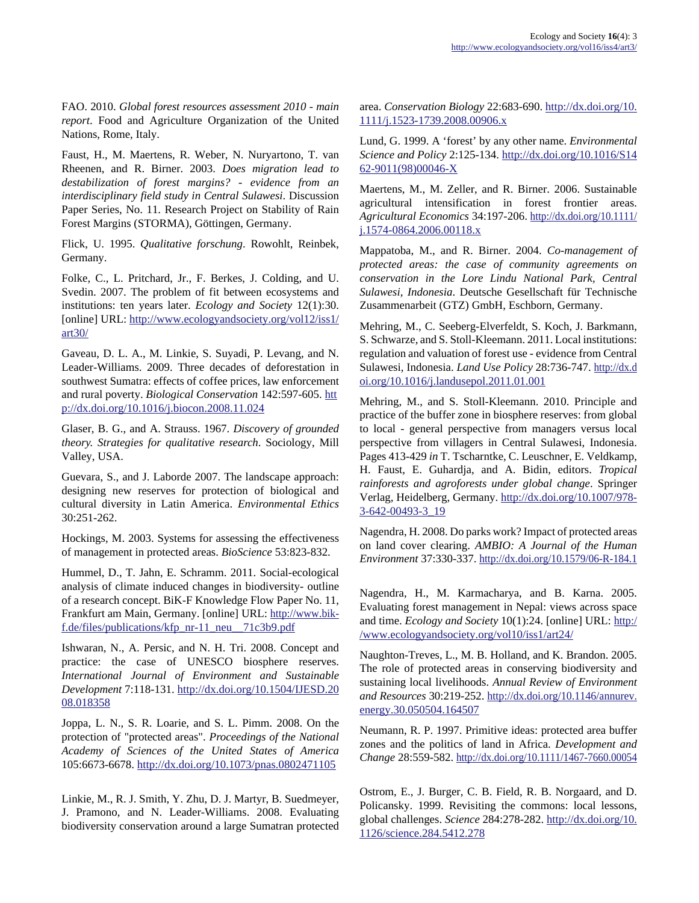FAO. 2010. *Global forest resources assessment 2010 - main report*. Food and Agriculture Organization of the United Nations, Rome, Italy.

Faust, H., M. Maertens, R. Weber, N. Nuryartono, T. van Rheenen, and R. Birner. 2003. *Does migration lead to destabilization of forest margins? - evidence from an interdisciplinary field study in Central Sulawesi*. Discussion Paper Series, No. 11. Research Project on Stability of Rain Forest Margins (STORMA), Göttingen, Germany.

Flick, U. 1995. *Qualitative forschung*. Rowohlt, Reinbek, Germany.

Folke, C., L. Pritchard, Jr., F. Berkes, J. Colding, and U. Svedin. 2007. The problem of fit between ecosystems and institutions: ten years later. *Ecology and Society* 12(1):30. [online] URL: [http://www.ecologyandsociety.org/vol12/iss1/](http://www.ecologyandsociety.org/vol12/iss1/art30/) [art30/](http://www.ecologyandsociety.org/vol12/iss1/art30/)

Gaveau, D. L. A., M. Linkie, S. Suyadi, P. Levang, and N. Leader-Williams. 2009. Three decades of deforestation in southwest Sumatra: effects of coffee prices, law enforcement and rural poverty. *Biological Conservation* 142:597-605. [htt](http://dx.doi.org/10.1016/j.biocon.2008.11.024) [p://dx.doi.org/10.1016/j.biocon.2008.11.024](http://dx.doi.org/10.1016/j.biocon.2008.11.024)

Glaser, B. G., and A. Strauss. 1967. *Discovery of grounded theory. Strategies for qualitative research*. Sociology, Mill Valley, USA.

Guevara, S., and J. Laborde 2007. The landscape approach: designing new reserves for protection of biological and cultural diversity in Latin America. *Environmental Ethics* 30:251-262.

Hockings, M. 2003. Systems for assessing the effectiveness of management in protected areas. *BioScience* 53:823-832.

Hummel, D., T. Jahn, E. Schramm. 2011. Social-ecological analysis of climate induced changes in biodiversity- outline of a research concept. BiK-F Knowledge Flow Paper No. 11, Frankfurt am Main, Germany. [online] URL: [http://www.bik](http://www.bik-f.de/files/publications/kfp_nr-11_neu__71c3b9.pdf)[f.de/files/publications/kfp\\_nr-11\\_neu\\_\\_71c3b9.pdf](http://www.bik-f.de/files/publications/kfp_nr-11_neu__71c3b9.pdf)

Ishwaran, N., A. Persic, and N. H. Tri. 2008. Concept and practice: the case of UNESCO biosphere reserves. *International Journal of Environment and Sustainable Development* 7:118-131. [http://dx.doi.org/10.1504/IJESD.20](http://dx.doi.org/10.1504/IJESD.2008.018358) [08.018358](http://dx.doi.org/10.1504/IJESD.2008.018358)

Joppa, L. N., S. R. Loarie, and S. L. Pimm. 2008. On the protection of "protected areas". *Proceedings of the National Academy of Sciences of the United States of America* 105:6673-6678.<http://dx.doi.org/10.1073/pnas.0802471105>

Linkie, M., R. J. Smith, Y. Zhu, D. J. Martyr, B. Suedmeyer, J. Pramono, and N. Leader-Williams. 2008. Evaluating biodiversity conservation around a large Sumatran protected area. *Conservation Biology* 22:683-690. [http://dx.doi.org/10.](http://dx.doi.org/10.1111/j.1523-1739.2008.00906.x) [1111/j.1523-1739.2008.00906.x](http://dx.doi.org/10.1111/j.1523-1739.2008.00906.x)

Lund, G. 1999. A 'forest' by any other name. *Environmental Science and Policy* 2:125-134. [http://dx.doi.org/10.1016/S14](http://dx.doi.org/10.1016/S1462-9011(98)00046-X) [62-9011\(98\)00046-X](http://dx.doi.org/10.1016/S1462-9011(98)00046-X) 

Maertens, M., M. Zeller, and R. Birner. 2006. Sustainable agricultural intensification in forest frontier areas. *Agricultural Economics* 34:197-206. [http://dx.doi.org/10.1111/](http://dx.doi.org/10.1111/j.1574-0864.2006.00118.x) [j.1574-0864.2006.00118.x](http://dx.doi.org/10.1111/j.1574-0864.2006.00118.x)

Mappatoba, M., and R. Birner. 2004. *Co-management of protected areas: the case of community agreements on conservation in the Lore Lindu National Park, Central Sulawesi, Indonesia*. Deutsche Gesellschaft für Technische Zusammenarbeit (GTZ) GmbH, Eschborn, Germany.

Mehring, M., C. Seeberg-Elverfeldt, S. Koch, J. Barkmann, S. Schwarze, and S. Stoll-Kleemann. 2011. Local institutions: regulation and valuation of forest use - evidence from Central Sulawesi, Indonesia. *Land Use Policy* 28:736-747. [http://dx.d](http://dx.doi.org/10.1016/j.landusepol.2011.01.001) [oi.org/10.1016/j.landusepol.2011.01.001](http://dx.doi.org/10.1016/j.landusepol.2011.01.001)

Mehring, M., and S. Stoll-Kleemann. 2010. Principle and practice of the buffer zone in biosphere reserves: from global to local - general perspective from managers versus local perspective from villagers in Central Sulawesi, Indonesia. Pages 413-429 *in* T. Tscharntke, C. Leuschner, E. Veldkamp, H. Faust, E. Guhardja, and A. Bidin, editors. *Tropical rainforests and agroforests under global change*. Springer Verlag, Heidelberg, Germany. [http://dx.doi.org/10.1007/978-](http://dx.doi.org/10.1007/978-3-642-00493-3_19) [3-642-00493-3\\_19](http://dx.doi.org/10.1007/978-3-642-00493-3_19)

Nagendra, H. 2008. Do parks work? Impact of protected areas on land cover clearing. *AMBIO: A Journal of the Human Environment* 37:330-337. <http://dx.doi.org/10.1579/06-R-184.1>

Nagendra, H., M. Karmacharya, and B. Karna. 2005. Evaluating forest management in Nepal: views across space and time. *Ecology and Society* 10(1):24. [online] URL: [http:/](http://www.ecologyandsociety.org/vol10/iss1/art24/) [/www.ecologyandsociety.org/vol10/iss1/art24/](http://www.ecologyandsociety.org/vol10/iss1/art24/)

Naughton-Treves, L., M. B. Holland, and K. Brandon. 2005. The role of protected areas in conserving biodiversity and sustaining local livelihoods. *Annual Review of Environment and Resources* 30:219-252. [http://dx.doi.org/10.1146/annurev.](http://dx.doi.org/10.1146/annurev.energy.30.050504.164507) [energy.30.050504.164507](http://dx.doi.org/10.1146/annurev.energy.30.050504.164507)

Neumann, R. P. 1997. Primitive ideas: protected area buffer zones and the politics of land in Africa. *Development and Change* 28:559-582. <http://dx.doi.org/10.1111/1467-7660.00054>

Ostrom, E., J. Burger, C. B. Field, R. B. Norgaard, and D. Policansky. 1999. Revisiting the commons: local lessons, global challenges. *Science* 284:278-282. [http://dx.doi.org/10.](http://dx.doi.org/10.1126/science.284.5412.278) [1126/science.284.5412.278](http://dx.doi.org/10.1126/science.284.5412.278)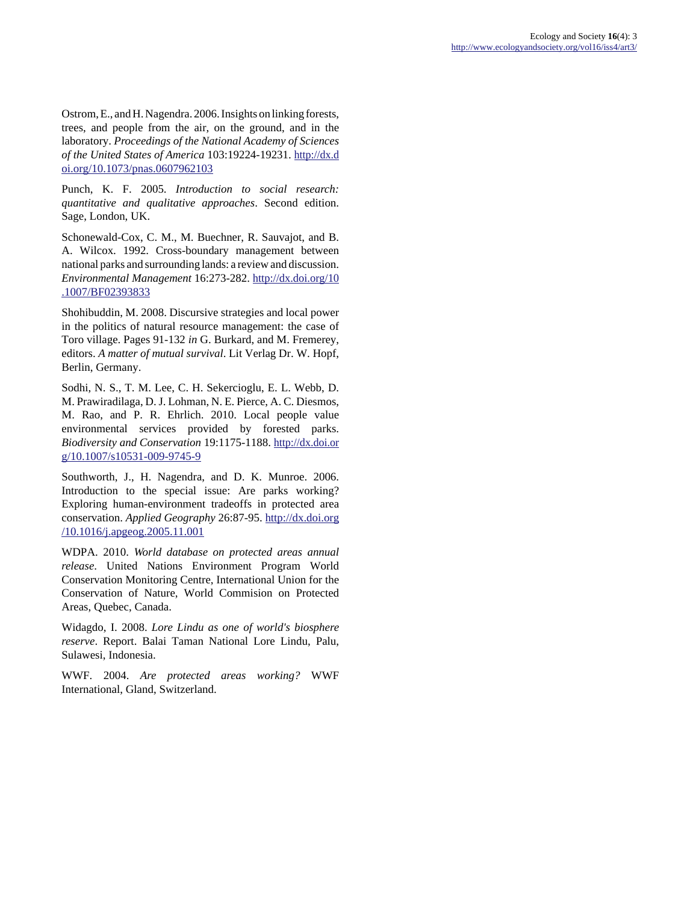Ostrom, E., and H. Nagendra. 2006. Insights on linking forests, trees, and people from the air, on the ground, and in the laboratory. *Proceedings of the National Academy of Sciences of the United States of America* 103:19224-19231. [http://dx.d](http://dx.doi.org/10.1073/pnas.0607962103) [oi.org/10.1073/pnas.0607962103](http://dx.doi.org/10.1073/pnas.0607962103)

Punch, K. F. 2005. *Introduction to social research: quantitative and qualitative approaches*. Second edition. Sage, London, UK.

Schonewald-Cox, C. M., M. Buechner, R. Sauvajot, and B. A. Wilcox. 1992. Cross-boundary management between national parks and surrounding lands: a review and discussion. *Environmental Management* 16:273-282. [http://dx.doi.org/10](http://dx.doi.org/10.1007/BF02393833) [.1007/BF02393833](http://dx.doi.org/10.1007/BF02393833) 

Shohibuddin, M. 2008. Discursive strategies and local power in the politics of natural resource management: the case of Toro village. Pages 91-132 *in* G. Burkard, and M. Fremerey, editors. *A matter of mutual survival*. Lit Verlag Dr. W. Hopf, Berlin, Germany.

Sodhi, N. S., T. M. Lee, C. H. Sekercioglu, E. L. Webb, D. M. Prawiradilaga, D. J. Lohman, N. E. Pierce, A. C. Diesmos, M. Rao, and P. R. Ehrlich. 2010. Local people value environmental services provided by forested parks. *Biodiversity and Conservation* 19:1175-1188. [http://dx.doi.or](http://dx.doi.org/10.1007/s10531-009-9745-9) [g/10.1007/s10531-009-9745-9](http://dx.doi.org/10.1007/s10531-009-9745-9)

Southworth, J., H. Nagendra, and D. K. Munroe. 2006. Introduction to the special issue: Are parks working? Exploring human-environment tradeoffs in protected area conservation. *Applied Geography* 26:87-95. [http://dx.doi.org](http://dx.doi.org/10.1016/j.apgeog.2005.11.001) [/10.1016/j.apgeog.2005.11.001](http://dx.doi.org/10.1016/j.apgeog.2005.11.001)

WDPA. 2010. *World database on protected areas annual release*. United Nations Environment Program World Conservation Monitoring Centre, International Union for the Conservation of Nature, World Commision on Protected Areas, Quebec, Canada.

Widagdo, I. 2008. *Lore Lindu as one of world's biosphere reserve*. Report. Balai Taman National Lore Lindu, Palu, Sulawesi, Indonesia.

WWF. 2004. *Are protected areas working?* WWF International, Gland, Switzerland.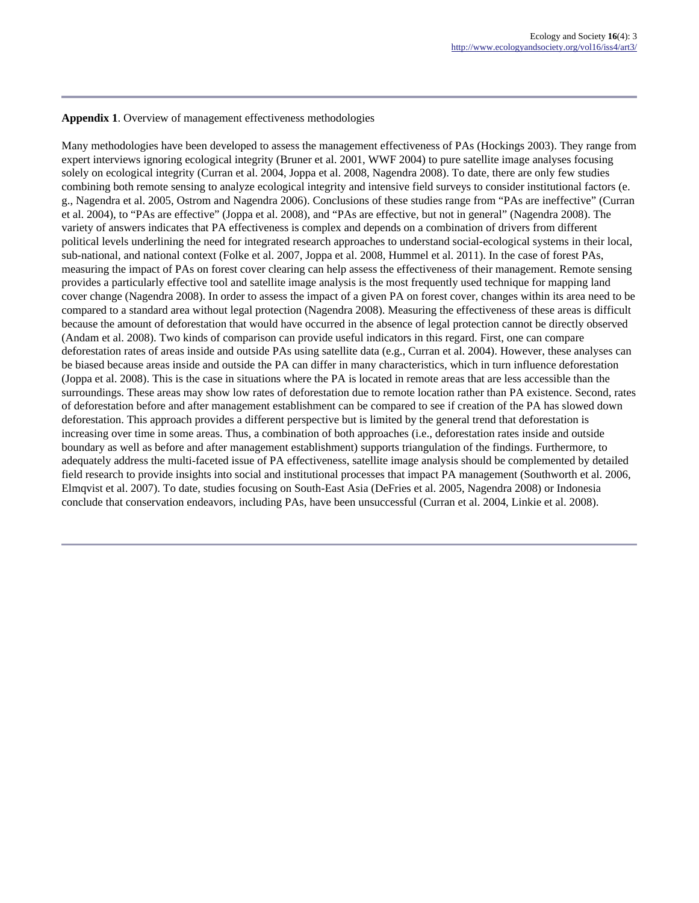**Appendix 1**. Overview of management effectiveness methodologies

Many methodologies have been developed to assess the management effectiveness of PAs (Hockings 2003). They range from expert interviews ignoring ecological integrity (Bruner et al. 2001, WWF 2004) to pure satellite image analyses focusing solely on ecological integrity (Curran et al. 2004, Joppa et al. 2008, Nagendra 2008). To date, there are only few studies combining both remote sensing to analyze ecological integrity and intensive field surveys to consider institutional factors (e. g., Nagendra et al. 2005, Ostrom and Nagendra 2006). Conclusions of these studies range from "PAs are ineffective" (Curran et al. 2004), to "PAs are effective" (Joppa et al. 2008), and "PAs are effective, but not in general" (Nagendra 2008). The variety of answers indicates that PA effectiveness is complex and depends on a combination of drivers from different political levels underlining the need for integrated research approaches to understand social-ecological systems in their local, sub-national, and national context (Folke et al. 2007, Joppa et al. 2008, Hummel et al. 2011). In the case of forest PAs, measuring the impact of PAs on forest cover clearing can help assess the effectiveness of their management. Remote sensing provides a particularly effective tool and satellite image analysis is the most frequently used technique for mapping land cover change (Nagendra 2008). In order to assess the impact of a given PA on forest cover, changes within its area need to be compared to a standard area without legal protection (Nagendra 2008). Measuring the effectiveness of these areas is difficult because the amount of deforestation that would have occurred in the absence of legal protection cannot be directly observed (Andam et al. 2008). Two kinds of comparison can provide useful indicators in this regard. First, one can compare deforestation rates of areas inside and outside PAs using satellite data (e.g., Curran et al. 2004). However, these analyses can be biased because areas inside and outside the PA can differ in many characteristics, which in turn influence deforestation (Joppa et al. 2008). This is the case in situations where the PA is located in remote areas that are less accessible than the surroundings. These areas may show low rates of deforestation due to remote location rather than PA existence. Second, rates of deforestation before and after management establishment can be compared to see if creation of the PA has slowed down deforestation. This approach provides a different perspective but is limited by the general trend that deforestation is increasing over time in some areas. Thus, a combination of both approaches (i.e., deforestation rates inside and outside boundary as well as before and after management establishment) supports triangulation of the findings. Furthermore, to adequately address the multi-faceted issue of PA effectiveness, satellite image analysis should be complemented by detailed field research to provide insights into social and institutional processes that impact PA management (Southworth et al. 2006, Elmqvist et al. 2007). To date, studies focusing on South-East Asia (DeFries et al. 2005, Nagendra 2008) or Indonesia conclude that conservation endeavors, including PAs, have been unsuccessful (Curran et al. 2004, Linkie et al. 2008).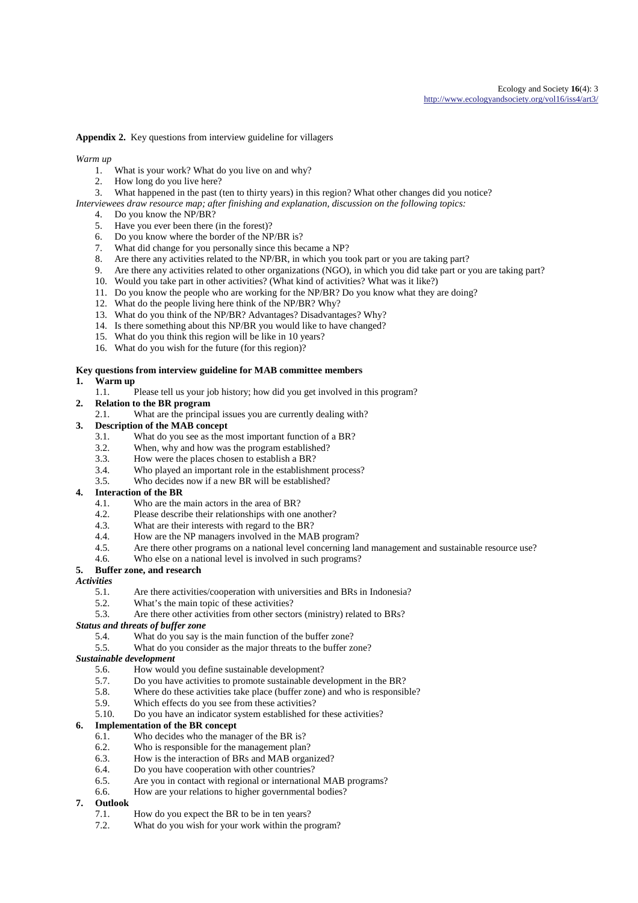**Appendix 2.** Key questions from interview guideline for villagers

#### *Warm up*

- 1. What is your work? What do you live on and why?<br>2. How long do you live here?
- 2. How long do you live here?<br>3. What happened in the past (
- 3. What happened in the past (ten to thirty years) in this region? What other changes did you notice?
- *Interviewees draw resource map; after finishing and explanation, discussion on the following topics:* 
	- 4. Do you know the NP/BR?
		- 5. Have you ever been there (in the forest)?
		- 6. Do you know where the border of the NP/BR is?
		- 7. What did change for you personally since this became a NP?
		- 8. Are there any activities related to the NP/BR, in which you took part or you are taking part?
		- 9. Are there any activities related to other organizations (NGO), in which you did take part or you are taking part?
		- 10. Would you take part in other activities? (What kind of activities? What was it like?)
		- 11. Do you know the people who are working for the NP/BR? Do you know what they are doing?
		- 12. What do the people living here think of the NP/BR? Why?
		- 13. What do you think of the NP/BR? Advantages? Disadvantages? Why?
		- 14. Is there something about this NP/BR you would like to have changed?
		- 15. What do you think this region will be like in 10 years?
		- 16. What do you wish for the future (for this region)?

#### **Key questions from interview guideline for MAB committee members**

## **1. Warm up**  $\frac{1}{1}$

- Please tell us your job history; how did you get involved in this program?
- **2. Relation to the BR program** 
	- 2.1. What are the principal issues you are currently dealing with?

#### **3. Description of the MAB concept**

- 3.1. What do you see as the most important function of a BR?
- 3.2. When, why and how was the program established?
- 3.3. How were the places chosen to establish a BR?
- 3.4. Who played an important role in the establishment process?
- 3.5. Who decides now if a new BR will be established?

## **4. Interaction of the BR**

- 4.1. Who are the main actors in the area of BR?
- 4.2. Please describe their relationships with one another?<br> $\frac{43}{12}$  What are their interests with regard to the BR?
- 4.3. What are their interests with regard to the BR?<br>4.4. How are the NP managers involved in the MAI
- How are the NP managers involved in the MAB program?
- 4.5. Are there other programs on a national level concerning land management and sustainable resource use?
- 4.6. Who else on a national level is involved in such programs?

### **5. Buffer zone, and research**

## *Activities*

- 5.1. Are there activities/cooperation with universities and BRs in Indonesia?<br>5.2. What's the main topic of these activities?
- What's the main topic of these activities?
- 5.3. Are there other activities from other sectors (ministry) related to BRs?

#### *Status and threats of buffer zone*

- 5.4. What do you say is the main function of the buffer zone?
- 5.5. What do you consider as the major threats to the buffer zone?

#### *Sustainable development*

- 5.6. How would you define sustainable development?
- 5.7. Do you have activities to promote sustainable development in the BR?
- 5.8. Where do these activities take place (buffer zone) and who is responsible?<br>5.9. Which effects do you see from these activities?
- Which effects do you see from these activities?
- 5.10. Do you have an indicator system established for these activities?

#### **6. Implementation of the BR concept**

- 6.1. Who decides who the manager of the BR is?
- 6.2. Who is responsible for the management plan?<br>6.3. How is the interaction of BRs and MAB organ
- How is the interaction of BRs and MAB organized?
- 6.4. Do you have cooperation with other countries?
- 6.5. Are you in contact with regional or international MAB programs?
- 6.6. How are your relations to higher governmental bodies?

## **7. Outlook**

- How do you expect the BR to be in ten years?
- 7.2. What do you wish for your work within the program?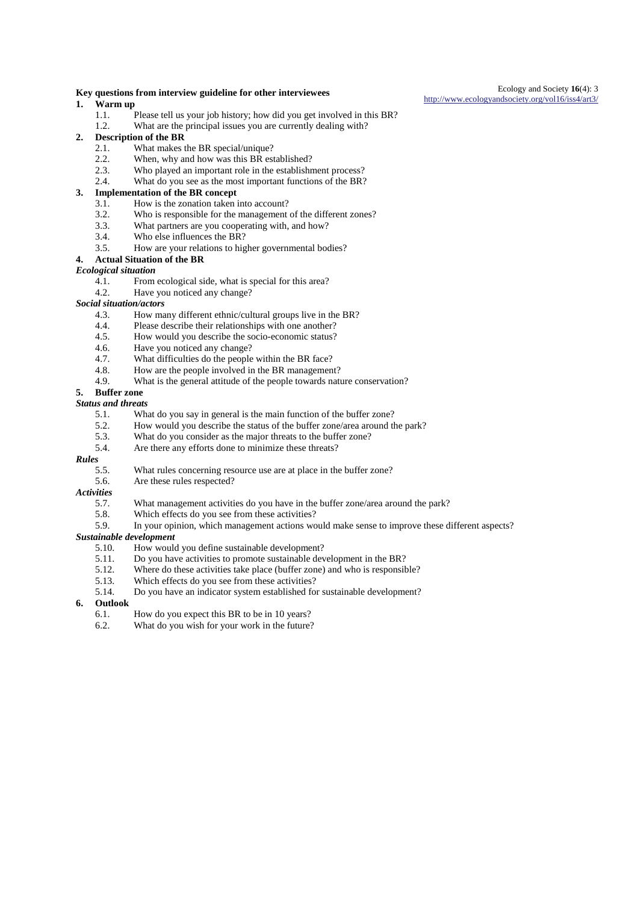#### **Key questions from interview guideline for other interviewees**

## **1. Warm up**

1.1. Please tell us your job history; how did you get involved in this BR?

#### 1.2. What are the principal issues you are currently dealing with?

## **2. Description of the BR**

- What makes the BR special/unique?
- 2.2. When, why and how was this BR established?<br>2.3. Who played an important role in the establish
- 2.3. Who played an important role in the establishment process?<br>2.4. What do you see as the most important functions of the BR?
- What do you see as the most important functions of the BR?

## **3. Implementation of the BR concept**

- 3.1. How is the zonation taken into account?
- 3.2. Who is responsible for the management of the different zones?
- 3.3. What partners are you cooperating with, and how?
- 3.4. Who else influences the BR?<br>3.5. How are your relations to high
- How are your relations to higher governmental bodies?

## **4. Actual Situation of the BR**

#### *Ecological situation*

- 4.1. From ecological side, what is special for this area?
- 4.2. Have you noticed any change?

#### *Social situation/actors*

- 4.3. How many different ethnic/cultural groups live in the BR?
- 4.4. Please describe their relationships with one another?
- 4.5. How would you describe the socio-economic status?
- 4.6. Have you noticed any change?<br>4.7. What difficulties do the people
- 4.7. What difficulties do the people within the BR face?<br>4.8. How are the people involved in the BR managemen
- How are the people involved in the BR management?
- 4.9. What is the general attitude of the people towards nature conservation?

## **5. Buffer zone**

## *Status and threats*

- 5.1. What do you say in general is the main function of the buffer zone?<br>5.2. How would you describe the status of the buffer zone/area around the
- 5.2. How would you describe the status of the buffer zone/area around the park?
- 5.3. What do you consider as the major threats to the buffer zone?
- 5.4. Are there any efforts done to minimize these threats?

## $Rules$ <sub>5.5</sub>

- What rules concerning resource use are at place in the buffer zone?
- 5.6. Are these rules respected?

*Activities* 

- What management activities do you have in the buffer zone/area around the park?
- 5.8. Which effects do you see from these activities?<br>5.9 In your opinion which management actions wo
- 5.9. In your opinion, which management actions would make sense to improve these different aspects?

## *Sustainable development*

- How would you define sustainable development?
- 5.11. Do you have activities to promote sustainable development in the BR?<br>5.12. Where do these activities take place (buffer zone) and who is responsity
- 5.12. Where do these activities take place (buffer zone) and who is responsible?<br>5.13. Which effects do you see from these activities?
- 5.13. Which effects do you see from these activities?<br>5.14 Do you have an indicator system established for
- 5.14. Do you have an indicator system established for sustainable development?

# **6. Outlook**

- How do you expect this BR to be in 10 years?
- 6.2. What do you wish for your work in the future?

Ecology and Society **16**(4): 3 <http://www.ecologyandsociety.org/vol16/iss4/art3/>